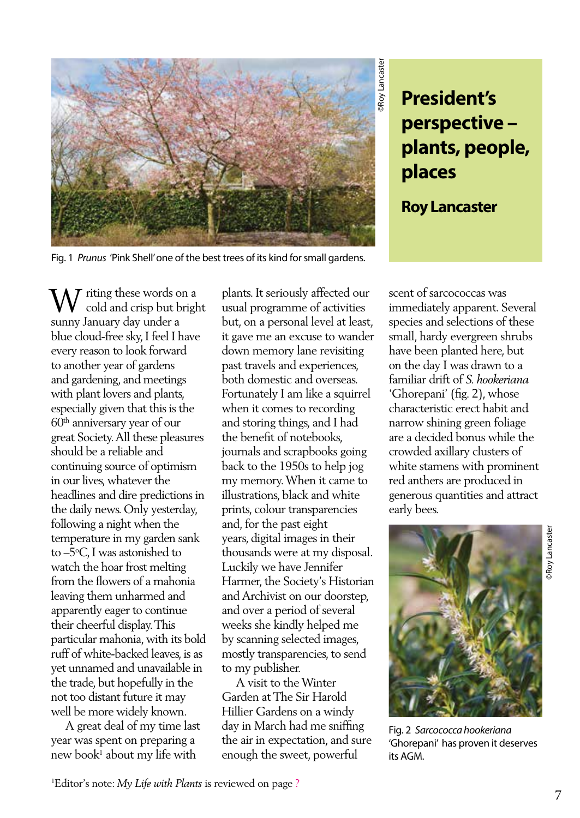

## **President's perspective – plants, people, places**

**Roy Lancaster**

Fig. 1 *Prunus* 'Pink Shell' one of the best trees of its kind for small gardens.

W riting these words on a<br>crisp but brigh cold and crisp but bright sunny January day under a blue cloud-free sky, I feel I have every reason to look forward to another year of gardens and gardening, and meetings with plant lovers and plants, especially given that this is the 60th anniversary year of our great Society. All these pleasures should be a reliable and continuing source of optimism in our lives, whatever the headlines and dire predictions in the daily news. Only yesterday, following a night when the temperature in my garden sank to –5°C, I was astonished to watch the hoar frost melting from the flowers of a mahonia leaving them unharmed and apparently eager to continue their cheerful display. This particular mahonia, with its bold ruff of white-backed leaves, is as yet unnamed and unavailable in the trade, but hopefully in the not too distant future it may well be more widely known.

 A great deal of my time last year was spent on preparing a new book<sup>1</sup> about my life with

plants. It seriously affected our usual programme of activities but, on a personal level at least, it gave me an excuse to wander down memory lane revisiting past travels and experiences, both domestic and overseas. Fortunately I am like a squirrel when it comes to recording and storing things, and I had the benefit of notebooks, journals and scrapbooks going back to the 1950s to help jog my memory. When it came to illustrations, black and white prints, colour transparencies and, for the past eight years, digital images in their thousands were at my disposal. Luckily we have Jennifer Harmer, the Society's Historian and Archivist on our doorstep, and over a period of several weeks she kindly helped me by scanning selected images, mostly transparencies, to send to my publisher.

 A visit to the Winter Garden at The Sir Harold Hillier Gardens on a windy day in March had me sniffing the air in expectation, and sure enough the sweet, powerful

scent of sarcococcas was immediately apparent. Several species and selections of these small, hardy evergreen shrubs have been planted here, but on the day I was drawn to a familiar drift of *S. hookeriana* 'Ghorepani' (fig. 2), whose characteristic erect habit and narrow shining green foliage are a decided bonus while the crowded axillary clusters of white stamens with prominent red anthers are produced in generous quantities and attract early bees.



Fig. 2 *Sarcococca hookeriana*  'Ghorepani' has proven it deserves its AGM.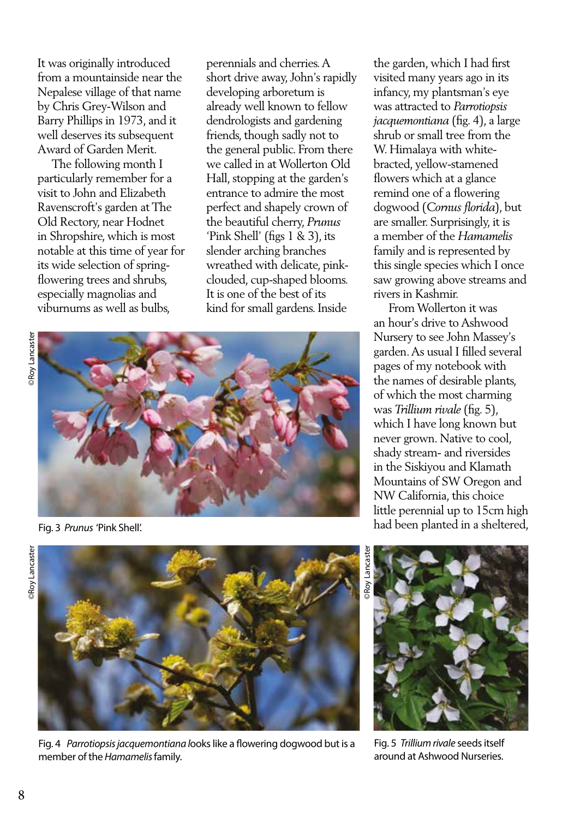It was originally introduced from a mountainside near the Nepalese village of that name by Chris Grey-Wilson and Barry Phillips in 1973, and it well deserves its subsequent Award of Garden Merit.

 The following month I particularly remember for a visit to John and Elizabeth Ravenscroft's garden at The Old Rectory, near Hodnet in Shropshire, which is most notable at this time of year for its wide selection of springflowering trees and shrubs, especially magnolias and viburnums as well as bulbs,

perennials and cherries. A short drive away, John's rapidly developing arboretum is already well known to fellow dendrologists and gardening friends, though sadly not to the general public. From there we called in at Wollerton Old Hall, stopping at the garden's entrance to admire the most perfect and shapely crown of the beautiful cherry, *Prunus* 'Pink Shell' (figs 1 & 3), its slender arching branches wreathed with delicate, pinkclouded, cup-shaped blooms. It is one of the best of its kind for small gardens. Inside





Fig. 3 *Prunus* 'Pink Shell'.



Fig. 4 *Parrotiopsis jacquemontiana l*ooks like a flowering dogwood but is a member of the *Hamamelis* family.

the garden, which I had first visited many years ago in its infancy, my plantsman's eye was attracted to *Parrotiopsis jacquemontiana* (fig. 4), a large shrub or small tree from the W. Himalaya with whitebracted, yellow-stamened flowers which at a glance remind one of a flowering dogwood (*Cornus florida*), but are smaller. Surprisingly, it is a member of the *Hamamelis* family and is represented by this single species which I once saw growing above streams and rivers in Kashmir.

 From Wollerton it was an hour's drive to Ashwood Nursery to see John Massey's garden. As usual I filled several pages of my notebook with the names of desirable plants, of which the most charming was *Trillium rivale* (fig. 5), which I have long known but never grown. Native to cool, shady stream- and riversides in the Siskiyou and Klamath Mountains of SW Oregon and NW California, this choice little perennial up to 15cm high had been planted in a sheltered,



Fig. 5 *Trillium rivale* seeds itself around at Ashwood Nurseries.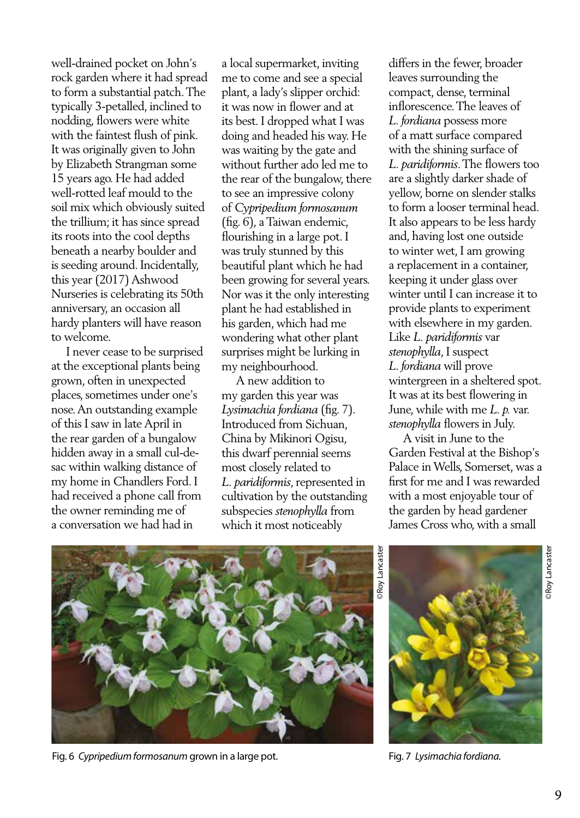well-drained pocket on John's rock garden where it had spread to form a substantial patch. The typically 3-petalled, inclined to nodding, flowers were white with the faintest flush of pink. It was originally given to John by Elizabeth Strangman some 15 years ago. He had added well-rotted leaf mould to the soil mix which obviously suited the trillium; it has since spread its roots into the cool depths beneath a nearby boulder and is seeding around. Incidentally, this year (2017) Ashwood Nurseries is celebrating its 50th anniversary, an occasion all hardy planters will have reason to welcome.

 I never cease to be surprised at the exceptional plants being grown, often in unexpected places, sometimes under one's nose. An outstanding example of this I saw in late April in the rear garden of a bungalow hidden away in a small cul-desac within walking distance of my home in Chandlers Ford. I had received a phone call from the owner reminding me of a conversation we had had in

a local supermarket, inviting me to come and see a special plant, a lady's slipper orchid: it was now in flower and at its best. I dropped what I was doing and headed his way. He was waiting by the gate and without further ado led me to the rear of the bungalow, there to see an impressive colony of *Cypripedium formosanum* (fig. 6), a Taiwan endemic, flourishing in a large pot. I was truly stunned by this beautiful plant which he had been growing for several years. Nor was it the only interesting plant he had established in his garden, which had me wondering what other plant surprises might be lurking in my neighbourhood.

 A new addition to my garden this year was *Lysimachia fordiana* (fig. 7). Introduced from Sichuan, China by Mikinori Ogisu, this dwarf perennial seems most closely related to *L. paridiformis*, represented in cultivation by the outstanding subspecies *stenophylla* from which it most noticeably

differs in the fewer, broader leaves surrounding the compact, dense, terminal inflorescence. The leaves of *L. fordiana* possess more of a matt surface compared with the shining surface of *L. paridiformis*. The flowers too are a slightly darker shade of yellow, borne on slender stalks to form a looser terminal head. It also appears to be less hardy and, having lost one outside to winter wet, I am growing a replacement in a container, keeping it under glass over winter until I can increase it to provide plants to experiment with elsewhere in my garden. Like *L. paridiformis* var *stenophylla*, I suspect *L. fordiana* will prove wintergreen in a sheltered spot. It was at its best flowering in June, while with me *L. p.* var. *stenophylla* flowers in July.

 A visit in June to the Garden Festival at the Bishop's Palace in Wells, Somerset, was a first for me and I was rewarded with a most enjoyable tour of the garden by head gardener James Cross who, with a small



Fig. 6 *Cypripedium formosanum* grown in a large pot.

©Roy Lancaster **Poy Lancaster** 



Fig. 7 *Lysimachia fordiana.*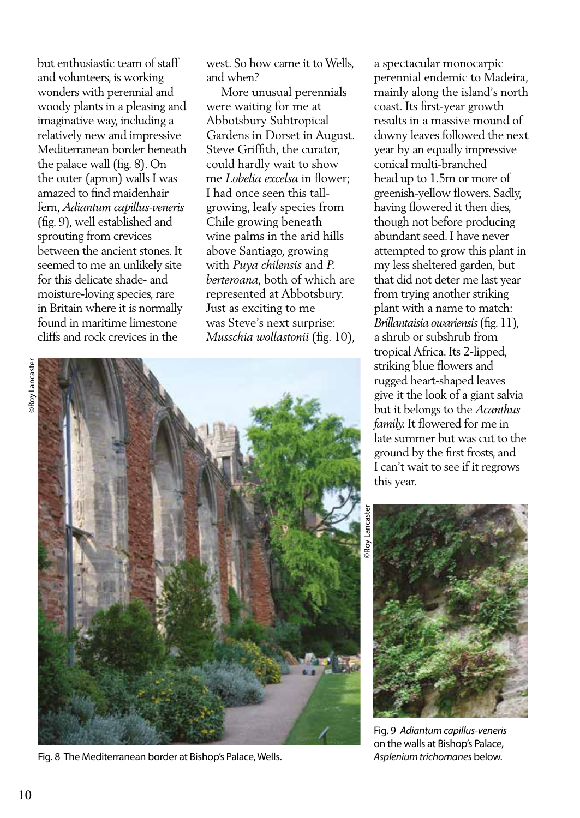but enthusiastic team of staff and volunteers, is working wonders with perennial and woody plants in a pleasing and imaginative way, including a relatively new and impressive Mediterranean border beneath the palace wall (fig. 8). On the outer (apron) walls I was amazed to find maidenhair fern, *Adiantum capillus-veneris* (fig. 9), well established and sprouting from crevices between the ancient stones. It seemed to me an unlikely site for this delicate shade- and moisture-loving species, rare in Britain where it is normally found in maritime limestone cliffs and rock crevices in the

west. So how came it to Wells, and when?

 More unusual perennials were waiting for me at Abbotsbury Subtropical Gardens in Dorset in August. Steve Griffith, the curator, could hardly wait to show me *Lobelia excelsa* in flower; I had once seen this tallgrowing, leafy species from Chile growing beneath wine palms in the arid hills above Santiago, growing with *Puya chilensis* and *P. berteroana*, both of which are represented at Abbotsbury. Just as exciting to me was Steve's next surprise: *Musschia wollastonii* (fig. 10),



Fig. 8 The Mediterranean border at Bishop's Palace, Wells.

a spectacular monocarpic perennial endemic to Madeira, mainly along the island's north coast. Its first-year growth results in a massive mound of downy leaves followed the next year by an equally impressive conical multi-branched head up to 1.5m or more of greenish-yellow flowers. Sadly, having flowered it then dies, though not before producing abundant seed. I have never attempted to grow this plant in my less sheltered garden, but that did not deter me last year from trying another striking plant with a name to match: *Brillantaisia owariensis* (fig. 11), a shrub or subshrub from tropical Africa. Its 2-lipped, striking blue flowers and rugged heart-shaped leaves give it the look of a giant salvia but it belongs to the *Acanthus family.* It flowered for me in late summer but was cut to the ground by the first frosts, and I can't wait to see if it regrows this year.

Roy Lancaste



Fig. 9 *Adiantum capillus-veneris* on the walls at Bishop's Palace, *Asplenium trichomanes* below.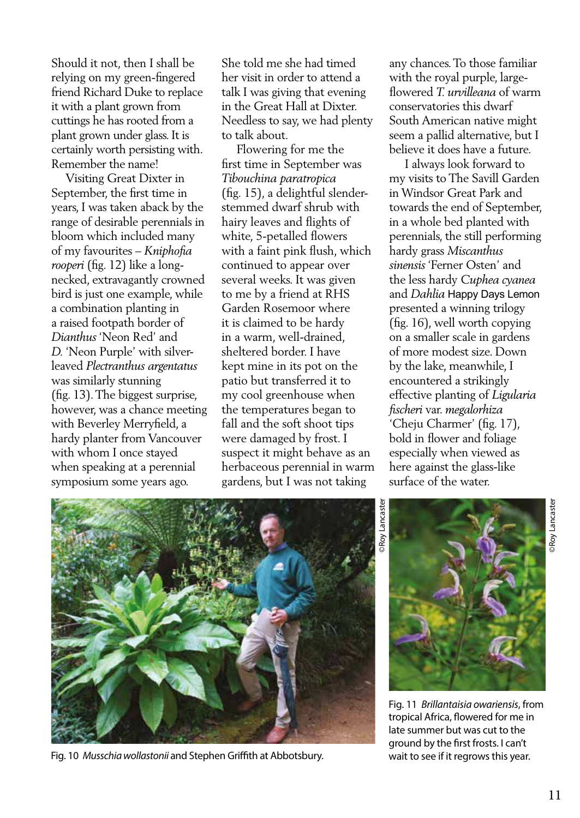Should it not, then I shall be relying on my green-fingered friend Richard Duke to replace it with a plant grown from cuttings he has rooted from a plant grown under glass. It is certainly worth persisting with. Remember the name!

 Visiting Great Dixter in September, the first time in years, I was taken aback by the range of desirable perennials in bloom which included many of my favourites – *Kniphofia rooperi* (fig. 12) like a longnecked, extravagantly crowned bird is just one example, while a combination planting in a raised footpath border of *Dianthus* 'Neon Red' and *D.* 'Neon Purple' with silverleaved *Plectranthus argentatus* was similarly stunning (fig. 13). The biggest surprise, however, was a chance meeting with Beverley Merryfield, a hardy planter from Vancouver with whom I once stayed when speaking at a perennial symposium some years ago.

She told me she had timed her visit in order to attend a talk I was giving that evening in the Great Hall at Dixter. Needless to say, we had plenty to talk about.

 Flowering for me the first time in September was *Tibouchina paratropica* (fig. 15), a delightful slenderstemmed dwarf shrub with hairy leaves and flights of white, 5-petalled flowers with a faint pink flush, which continued to appear over several weeks. It was given to me by a friend at RHS Garden Rosemoor where it is claimed to be hardy in a warm, well-drained, sheltered border. I have kept mine in its pot on the patio but transferred it to my cool greenhouse when the temperatures began to fall and the soft shoot tips were damaged by frost. I suspect it might behave as an herbaceous perennial in warm gardens, but I was not taking

any chances. To those familiar with the royal purple, largeflowered *T. urvilleana* of warm conservatories this dwarf South American native might seem a pallid alternative, but I believe it does have a future.

 I always look forward to my visits to The Savill Garden in Windsor Great Park and towards the end of September, in a whole bed planted with perennials, the still performing hardy grass *Miscanthus sinensis* 'Ferner Osten' and the less hardy *Cuphea cyanea*  and *Dahlia* Happy Days Lemon presented a winning trilogy (fig. 16), well worth copying on a smaller scale in gardens of more modest size. Down by the lake, meanwhile, I encountered a strikingly effective planting of *Ligularia fischeri* var. *megalorhiza* 'Cheju Charmer' (fig. 17), bold in flower and foliage especially when viewed as here against the glass-like surface of the water.



Fig. 10 *Musschia wollastonii* and Stephen Griffith at Abbotsbury. wait to see if it regrows this year.

©Roy Lancaster



Fig. 11 *Brillantaisia owariensis*, from tropical Africa, flowered for me in late summer but was cut to the ground by the first frosts. I can't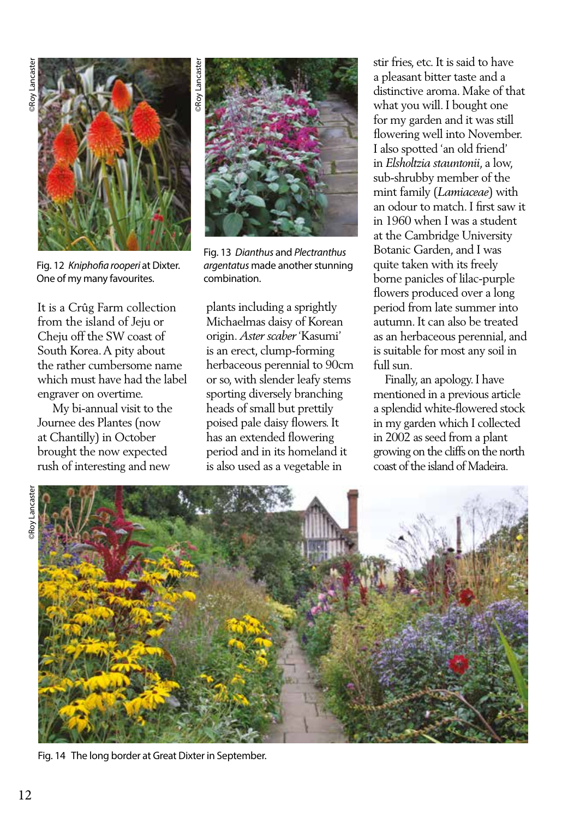

Fig. 12 *Kniphofia rooperi* at Dixter. One of my many favourites.

It is a Crûg Farm collection from the island of Jeju or Cheju off the SW coast of South Korea. A pity about the rather cumbersome name which must have had the label engraver on overtime.

 My bi-annual visit to the Journee des Plantes (now at Chantilly) in October brought the now expected rush of interesting and new



Fig. 13 *Dianthus* and *Plectranthus argentatus* made another stunning combination.

plants including a sprightly Michaelmas daisy of Korean origin. *Aster scaber* 'Kasumi' is an erect, clump-forming herbaceous perennial to 90cm or so, with slender leafy stems sporting diversely branching heads of small but prettily poised pale daisy flowers. It has an extended flowering period and in its homeland it is also used as a vegetable in

stir fries, etc. It is said to have a pleasant bitter taste and a distinctive aroma. Make of that what you will. I bought one for my garden and it was still flowering well into November. I also spotted 'an old friend' in *Elsholtzia stauntonii*, a low, sub-shrubby member of the mint family (*Lamiaceae*) with an odour to match. I first saw it in 1960 when I was a student at the Cambridge University Botanic Garden, and I was quite taken with its freely borne panicles of lilac-purple flowers produced over a long period from late summer into autumn. It can also be treated as an herbaceous perennial, and is suitable for most any soil in full sun.

 Finally, an apology. I have mentioned in a previous article a splendid white-flowered stock in my garden which I collected in 2002 as seed from a plant growing on the cliffs on the north coast of the island of Madeira.



Fig. 14 The long border at Great Dixter in September.